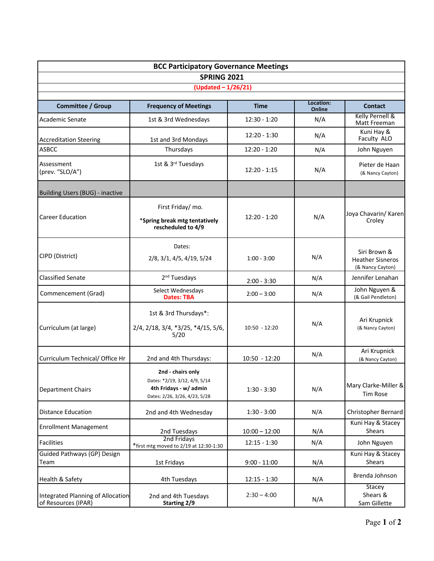|                                                          | <b>BCC Participatory Governance Meetings</b>                                                                  |                 |                     |                                                             |
|----------------------------------------------------------|---------------------------------------------------------------------------------------------------------------|-----------------|---------------------|-------------------------------------------------------------|
|                                                          | <b>SPRING 2021</b>                                                                                            |                 |                     |                                                             |
|                                                          | (Updated - 1/26/21)                                                                                           |                 |                     |                                                             |
| <b>Committee / Group</b>                                 | <b>Frequency of Meetings</b>                                                                                  | <b>Time</b>     | Location:<br>Online | Contact                                                     |
| Academic Senate                                          | 1st & 3rd Wednesdays                                                                                          | $12:30 - 1:20$  | N/A                 | Kelly Pernell &<br>Matt Freeman                             |
| <b>Accreditation Steering</b>                            | 1st and 3rd Mondays                                                                                           | 12:20 - 1:30    | N/A                 | Kuni Hay &<br>Faculty ALO                                   |
| <b>ASBCC</b>                                             | Thursdays                                                                                                     | $12:20 - 1:20$  | N/A                 | John Nguyen                                                 |
| Assessment<br>(prev. "SLO/A")                            | 1st & 3rd Tuesdays                                                                                            | $12:20 - 1:15$  | N/A                 | Pieter de Haan<br>(& Nancy Cayton)                          |
| Building Users (BUG) - inactive                          |                                                                                                               |                 |                     |                                                             |
|                                                          | First Friday/ mo.                                                                                             |                 |                     |                                                             |
| <b>Career Education</b>                                  | *Spring break mtg tentatively<br>rescheduled to 4/9                                                           | $12:20 - 1:20$  | N/A                 | Joya Chavarin/ Karen<br>Croley                              |
|                                                          | Dates:                                                                                                        |                 |                     |                                                             |
| CIPD (District)                                          | $2/8$ , $3/1$ , $4/5$ , $4/19$ , $5/24$                                                                       | $1:00 - 3:00$   | N/A                 | Siri Brown &<br><b>Heather Sisneros</b><br>(& Nancy Cayton) |
| <b>Classified Senate</b><br>2 <sup>nd</sup> Tuesdays     |                                                                                                               | $2:00 - 3:30$   | N/A                 | Jennifer Lenahan                                            |
| Commencement (Grad)                                      | Select Wednesdays<br><b>Dates: TBA</b>                                                                        | $2:00 - 3:00$   | N/A                 | John Nguyen &<br>(& Gail Pendleton)                         |
|                                                          | 1st & 3rd Thursdays*:                                                                                         |                 |                     |                                                             |
| Curriculum (at large)                                    | 2/4, 2/18, 3/4, *3/25, *4/15, 5/6,<br>5/20                                                                    | $10:50 - 12:20$ | N/A                 | Ari Krupnick<br>(& Nancy Cayton)                            |
| Curriculum Technical/ Office Hr                          | 2nd and 4th Thursdays:                                                                                        | 10:50 - 12:20   | N/A                 | Ari Krupnick<br>(& Nancy Cayton)                            |
| <b>Department Chairs</b>                                 | 2nd - chairs only<br>Dates: *2/19, 3/12, 4/9, 5/14<br>4th Fridays - w/ admin<br>Dates: 2/26, 3/26, 4/23, 5/28 | $1:30 - 3:30$   | N/A                 | Mary Clarke-Miller &<br>Tim Rose                            |
| <b>Distance Education</b>                                | 2nd and 4th Wednesday                                                                                         | $1:30 - 3:00$   | N/A                 | Christopher Bernard                                         |
| <b>Enrollment Management</b>                             | 2nd Tuesdays                                                                                                  | $10:00 - 12:00$ | N/A                 | Kuni Hay & Stacey<br>Shears                                 |
| <b>Facilities</b>                                        | 2nd Fridays<br>*first mtg moved to 2/19 at 12:30-1:30                                                         | $12:15 - 1:30$  | N/A                 | John Nguyen                                                 |
| Guided Pathways (GP) Design<br>Team                      | 1st Fridays                                                                                                   | $9:00 - 11:00$  | N/A                 | Kuni Hay & Stacey<br>Shears                                 |
| Health & Safety                                          | 4th Tuesdays                                                                                                  | $12:15 - 1:30$  | N/A                 | Brenda Johnson                                              |
| Integrated Planning of Allocation<br>of Resources (IPAR) | 2nd and 4th Tuesdays<br><b>Starting 2/9</b>                                                                   | $2:30 - 4:00$   | N/A                 | Stacey<br>Shears &<br>Sam Gillette                          |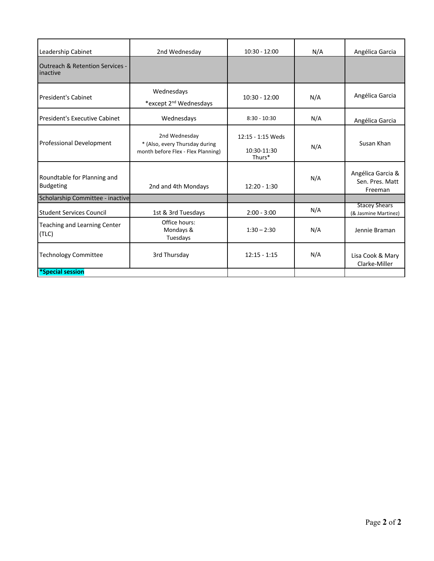| Leadership Cabinet                                     | 2nd Wednesday                                                                         | $10:30 - 12:00$                            | N/A | Angélica Garcia                                 |
|--------------------------------------------------------|---------------------------------------------------------------------------------------|--------------------------------------------|-----|-------------------------------------------------|
| <b>Outreach &amp; Retention Services -</b><br>inactive |                                                                                       |                                            |     |                                                 |
| President's Cabinet                                    | Wednesdays<br>*except 2 <sup>nd</sup> Wednesdays                                      | $10:30 - 12:00$                            | N/A | Angélica Garcia                                 |
| <b>President's Executive Cabinet</b>                   | Wednesdays                                                                            | $8:30 - 10:30$                             | N/A | Angélica Garcia                                 |
| <b>Professional Development</b>                        | 2nd Wednesday<br>* (Also, every Thursday during<br>month before Flex - Flex Planning) | 12:15 - 1:15 Weds<br>10:30-11:30<br>Thurs* | N/A | Susan Khan                                      |
| Roundtable for Planning and<br><b>Budgeting</b>        | 2nd and 4th Mondays                                                                   | $12:20 - 1:30$                             | N/A | Angélica Garcia &<br>Sen. Pres. Matt<br>Freeman |
| Scholarship Committee - inactive                       |                                                                                       |                                            |     |                                                 |
| <b>Student Services Council</b>                        | 1st & 3rd Tuesdays                                                                    | $2:00 - 3:00$                              | N/A | <b>Stacey Shears</b><br>(& Jasmine Martinez)    |
| Teaching and Learning Center<br>(TLC)                  | Office hours:<br>Mondays &<br>Tuesdays                                                | $1:30 - 2:30$                              | N/A | Jennie Braman                                   |
| <b>Technology Committee</b><br>3rd Thursday            |                                                                                       | $12:15 - 1:15$                             | N/A | Lisa Cook & Mary<br>Clarke-Miller               |
| *Special session                                       |                                                                                       |                                            |     |                                                 |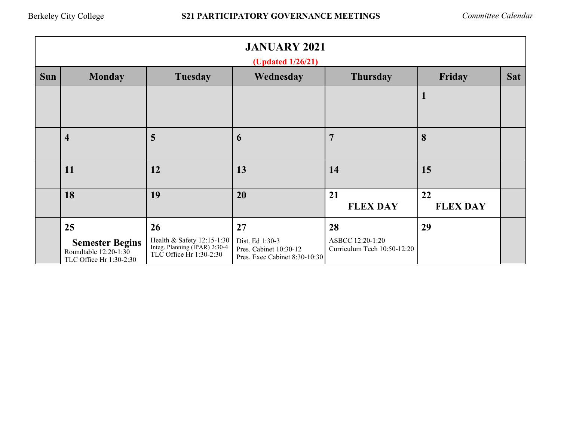|            | <b>JANUARY 2021</b><br>(Updated 1/26/21)                                         |                                                                                              |                                                                                  |                                                       |                       |            |  |
|------------|----------------------------------------------------------------------------------|----------------------------------------------------------------------------------------------|----------------------------------------------------------------------------------|-------------------------------------------------------|-----------------------|------------|--|
| <b>Sun</b> | <b>Monday</b>                                                                    | Tuesday                                                                                      | Wednesday                                                                        | <b>Thursday</b>                                       | Friday                | <b>Sat</b> |  |
|            |                                                                                  |                                                                                              |                                                                                  |                                                       |                       |            |  |
|            | $\overline{\mathbf{4}}$                                                          | 5                                                                                            | 6                                                                                | 7                                                     | 8                     |            |  |
|            | 11                                                                               | 12                                                                                           | 13                                                                               | 14                                                    | 15                    |            |  |
|            | 18                                                                               | 19                                                                                           | 20                                                                               | 21<br><b>FLEX DAY</b>                                 | 22<br><b>FLEX DAY</b> |            |  |
|            | 25<br><b>Semester Begins</b><br>Roundtable 12:20-1:30<br>TLC Office Hr 1:30-2:30 | 26<br>Health & Safety 12:15-1:30<br>Integ. Planning (IPAR) 2:30-4<br>TLC Office Hr 1:30-2:30 | 27<br>Dist. Ed 1:30-3<br>Pres. Cabinet 10:30-12<br>Pres. Exec Cabinet 8:30-10:30 | 28<br>ASBCC 12:20-1:20<br>Curriculum Tech 10:50-12:20 | 29                    |            |  |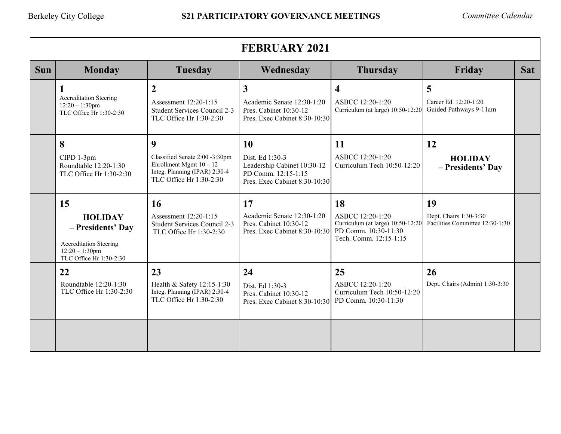| <b>FEBRUARY 2021</b> |                                                                                                                            |                                                                                                                              |                                                                                                                  |                                                                                                               |                                                                 |            |
|----------------------|----------------------------------------------------------------------------------------------------------------------------|------------------------------------------------------------------------------------------------------------------------------|------------------------------------------------------------------------------------------------------------------|---------------------------------------------------------------------------------------------------------------|-----------------------------------------------------------------|------------|
| <b>Sun</b>           | <b>Monday</b>                                                                                                              | <b>Tuesday</b>                                                                                                               | Wednesday                                                                                                        | <b>Thursday</b>                                                                                               | Friday                                                          | <b>Sat</b> |
|                      | <b>Accreditation Steering</b><br>$12:20 - 1:30$ pm<br>TLC Office Hr 1:30-2:30                                              | $\overline{2}$<br>Assessment 12:20-1:15<br>Student Services Council 2-3<br>TLC Office Hr 1:30-2:30                           | $\overline{\mathbf{3}}$<br>Academic Senate 12:30-1:20<br>Pres. Cabinet 10:30-12<br>Pres. Exec Cabinet 8:30-10:30 | $\overline{\mathbf{4}}$<br>ASBCC 12:20-1:20<br>Curriculum (at large) 10:50-12:20                              | 5<br>Career Ed. 12:20-1:20<br>Guided Pathways 9-11am            |            |
|                      | 8<br>CIPD 1-3pm<br>Roundtable 12:20-1:30<br>TLC Office Hr 1:30-2:30                                                        | 9<br>Classified Senate 2:00 -3:30pm<br>Enrollment Mgmt $10 - 12$<br>Integ. Planning (IPAR) 2:30-4<br>TLC Office Hr 1:30-2:30 | 10<br>Dist. Ed 1:30-3<br>Leadership Cabinet 10:30-12<br>PD Comm. 12:15-1:15<br>Pres. Exec Cabinet 8:30-10:30     | 11<br>ASBCC 12:20-1:20<br>Curriculum Tech 10:50-12:20                                                         | 12<br><b>HOLIDAY</b><br>- Presidents' Day                       |            |
|                      | 15<br><b>HOLIDAY</b><br>- Presidents' Day<br><b>Accreditation Steering</b><br>$12:20 - 1:30$ pm<br>TLC Office Hr 1:30-2:30 | <b>16</b><br>Assessment 12:20-1:15<br>Student Services Council 2-3<br>TLC Office Hr 1:30-2:30                                | 17<br>Academic Senate 12:30-1:20<br>Pres. Cabinet 10:30-12<br>Pres. Exec Cabinet 8:30-10:30                      | 18<br>ASBCC 12:20-1:20<br>Curriculum (at large) 10:50-12:20<br>PD Comm. 10:30-11:30<br>Tech. Comm. 12:15-1:15 | 19<br>Dept. Chairs 1:30-3:30<br>Facilities Committee 12:30-1:30 |            |
|                      | 22<br>Roundtable 12:20-1:30<br>TLC Office Hr 1:30-2:30                                                                     | 23<br>Health & Safety 12:15-1:30<br>Integ. Planning (IPAR) 2:30-4<br>TLC Office Hr 1:30-2:30                                 | 24<br>Dist. Ed 1:30-3<br>Pres. Cabinet 10:30-12<br>Pres. Exec Cabinet 8:30-10:30                                 | 25<br>ASBCC 12:20-1:20<br>Curriculum Tech 10:50-12:20<br>PD Comm. 10:30-11:30                                 | 26<br>Dept. Chairs (Admin) 1:30-3:30                            |            |
|                      |                                                                                                                            |                                                                                                                              |                                                                                                                  |                                                                                                               |                                                                 |            |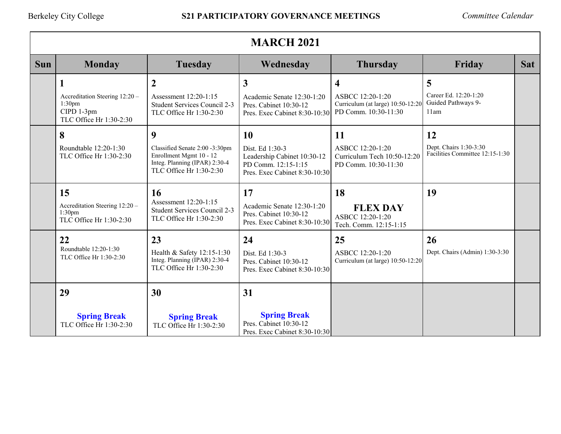|            | <b>MARCH 2021</b>                                                                      |                                                                                                                            |                                                                                                              |                                                                                                          |                                                                 |            |
|------------|----------------------------------------------------------------------------------------|----------------------------------------------------------------------------------------------------------------------------|--------------------------------------------------------------------------------------------------------------|----------------------------------------------------------------------------------------------------------|-----------------------------------------------------------------|------------|
| <b>Sun</b> | <b>Monday</b>                                                                          | <b>Tuesday</b>                                                                                                             | Wednesday                                                                                                    | <b>Thursday</b>                                                                                          | Friday                                                          | <b>Sat</b> |
|            | 1<br>Accreditation Steering 12:20 -<br>1:30pm<br>CIPD 1-3pm<br>TLC Office Hr 1:30-2:30 | $\boldsymbol{2}$<br>Assessment 12:20-1:15<br>Student Services Council 2-3<br>TLC Office Hr 1:30-2:30                       | $\mathbf{3}$<br>Academic Senate 12:30-1:20<br>Pres. Cabinet 10:30-12<br>Pres. Exec Cabinet 8:30-10:30        | $\overline{\mathbf{4}}$<br>ASBCC 12:20-1:20<br>Curriculum (at large) 10:50-12:20<br>PD Comm. 10:30-11:30 | 5<br>Career Ed. 12:20-1:20<br>Guided Pathways 9-<br>11am        |            |
|            | 8<br>Roundtable 12:20-1:30<br>TLC Office Hr 1:30-2:30                                  | 9<br>Classified Senate 2:00 -3:30pm<br>Enrollment Mgmt 10 - 12<br>Integ. Planning (IPAR) 2:30-4<br>TLC Office Hr 1:30-2:30 | 10<br>Dist. Ed 1:30-3<br>Leadership Cabinet 10:30-12<br>PD Comm. 12:15-1:15<br>Pres. Exec Cabinet 8:30-10:30 | 11<br>ASBCC 12:20-1:20<br>Curriculum Tech 10:50-12:20<br>PD Comm. 10:30-11:30                            | 12<br>Dept. Chairs 1:30-3:30<br>Facilities Committee 12:15-1:30 |            |
|            | 15<br>Accreditation Steering 12:20 -<br>1:30 <sub>pm</sub><br>TLC Office Hr 1:30-2:30  | <b>16</b><br>Assessment 12:20-1:15<br>Student Services Council 2-3<br>TLC Office Hr 1:30-2:30                              | 17<br>Academic Senate 12:30-1:20<br>Pres. Cabinet 10:30-12<br>Pres. Exec Cabinet 8:30-10:30                  | 18<br><b>FLEX DAY</b><br>ASBCC 12:20-1:20<br>Tech. Comm. 12:15-1:15                                      | 19                                                              |            |
|            | 22<br>Roundtable 12:20-1:30<br>TLC Office Hr 1:30-2:30                                 | 23<br>Health & Safety 12:15-1:30<br>Integ. Planning (IPAR) 2:30-4<br>TLC Office Hr 1:30-2:30                               | 24<br>Dist. Ed 1:30-3<br>Pres. Cabinet 10:30-12<br>Pres. Exec Cabinet 8:30-10:30                             | 25<br>ASBCC 12:20-1:20<br>Curriculum (at large) 10:50-12:20                                              | 26<br>Dept. Chairs (Admin) 1:30-3:30                            |            |
|            | 29<br><b>Spring Break</b><br>TLC Office Hr 1:30-2:30                                   | 30<br><b>Spring Break</b><br>TLC Office Hr 1:30-2:30                                                                       | 31<br><b>Spring Break</b><br>Pres. Cabinet 10:30-12<br>Pres. Exec Cabinet 8:30-10:30                         |                                                                                                          |                                                                 |            |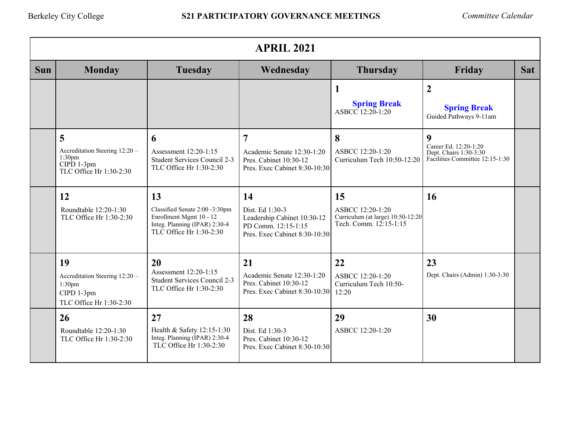|            | <b>APRIL 2021</b>                                                                                    |                                                                                                                             |                                                                                                              |                                                                                       |                                                                                         |            |  |
|------------|------------------------------------------------------------------------------------------------------|-----------------------------------------------------------------------------------------------------------------------------|--------------------------------------------------------------------------------------------------------------|---------------------------------------------------------------------------------------|-----------------------------------------------------------------------------------------|------------|--|
| <b>Sun</b> | <b>Monday</b>                                                                                        | <b>Tuesday</b>                                                                                                              | Wednesday                                                                                                    | <b>Thursday</b>                                                                       | Friday                                                                                  | <b>Sat</b> |  |
|            |                                                                                                      |                                                                                                                             |                                                                                                              | 1<br><b>Spring Break</b><br>ASBCC 12:20-1:20                                          | $\overline{2}$<br><b>Spring Break</b><br>Guided Pathways 9-11am                         |            |  |
|            | 5<br>Accreditation Steering 12:20 -<br>1:30 <sub>pm</sub><br>$CIPD$ 1-3pm<br>TLC Office Hr 1:30-2:30 | 6<br>Assessment 12:20-1:15<br>Student Services Council 2-3<br>TLC Office Hr 1:30-2:30                                       | 7<br>Academic Senate 12:30-1:20<br>Pres. Cabinet 10:30-12<br>Pres. Exec Cabinet 8:30-10:30                   | 8<br>ASBCC 12:20-1:20<br>Curriculum Tech 10:50-12:20                                  | 9<br>Career Ed. 12:20-1:20<br>Dept. Chairs 1:30-3:30<br>Facilities Committee 12:15-1:30 |            |  |
|            | 12<br>Roundtable 12:20-1:30<br>TLC Office Hr 1:30-2:30                                               | 13<br>Classified Senate 2:00 -3:30pm<br>Enrollment Mgmt 10 - 12<br>Integ. Planning (IPAR) 2:30-4<br>TLC Office Hr 1:30-2:30 | 14<br>Dist. Ed 1:30-3<br>Leadership Cabinet 10:30-12<br>PD Comm. 12:15-1:15<br>Pres. Exec Cabinet 8:30-10:30 | 15<br>ASBCC 12:20-1:20<br>Curriculum (at large) 10:50-12:20<br>Tech. Comm. 12:15-1:15 | 16                                                                                      |            |  |
|            | 19<br>Accreditation Steering 12:20 -<br>1:30 <sub>pm</sub><br>CIPD 1-3pm<br>TLC Office Hr 1:30-2:30  | 20<br>Assessment 12:20-1:15<br>Student Services Council 2-3<br>TLC Office Hr 1:30-2:30                                      | 21<br>Academic Senate 12:30-1:20<br>Pres. Cabinet 10:30-12<br>Pres. Exec Cabinet 8:30-10:30                  | 22<br>ASBCC 12:20-1:20<br>Curriculum Tech 10:50-<br>12:20                             | 23<br>Dept. Chairs (Admin) 1:30-3:30                                                    |            |  |
|            | 26<br>Roundtable 12:20-1:30<br>TLC Office Hr 1:30-2:30                                               | 27<br>Health & Safety 12:15-1:30<br>Integ. Planning (IPAR) 2:30-4<br>TLC Office Hr 1:30-2:30                                | 28<br>Dist. Ed 1:30-3<br>Pres. Cabinet 10:30-12<br>Pres. Exec Cabinet 8:30-10:30                             | 29<br>ASBCC 12:20-1:20                                                                | 30                                                                                      |            |  |